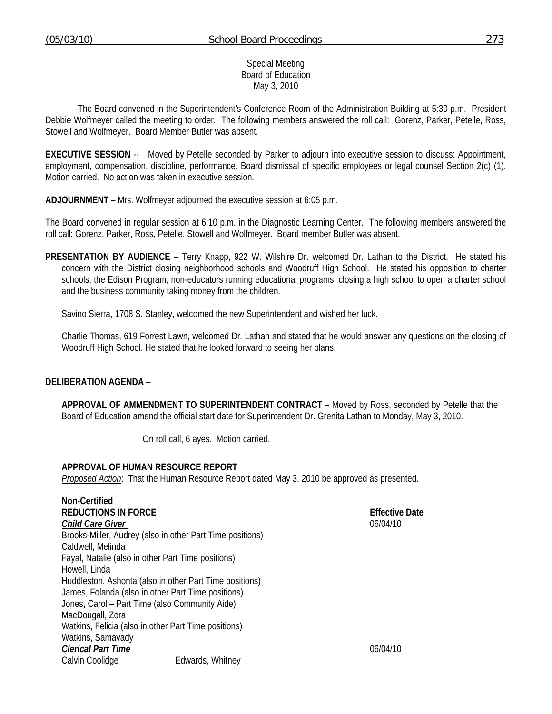## Special Meeting Board of Education May 3, 2010

 The Board convened in the Superintendent's Conference Room of the Administration Building at 5:30 p.m. President Debbie Wolfmeyer called the meeting to order. The following members answered the roll call: Gorenz, Parker, Petelle, Ross, Stowell and Wolfmeyer. Board Member Butler was absent.

**EXECUTIVE SESSION** -- Moved by Petelle seconded by Parker to adjourn into executive session to discuss: Appointment, employment, compensation, discipline, performance, Board dismissal of specific employees or legal counsel Section 2(c) (1). Motion carried. No action was taken in executive session.

**ADJOURNMENT** – Mrs. Wolfmeyer adjourned the executive session at 6:05 p.m.

The Board convened in regular session at 6:10 p.m. in the Diagnostic Learning Center. The following members answered the roll call: Gorenz, Parker, Ross, Petelle, Stowell and Wolfmeyer. Board member Butler was absent.

**PRESENTATION BY AUDIENCE** – Terry Knapp, 922 W. Wilshire Dr. welcomed Dr. Lathan to the District. He stated his concern with the District closing neighborhood schools and Woodruff High School. He stated his opposition to charter schools, the Edison Program, non-educators running educational programs, closing a high school to open a charter school and the business community taking money from the children.

Savino Sierra, 1708 S. Stanley, welcomed the new Superintendent and wished her luck.

 Charlie Thomas, 619 Forrest Lawn, welcomed Dr. Lathan and stated that he would answer any questions on the closing of Woodruff High School. He stated that he looked forward to seeing her plans.

## **DELIBERATION AGENDA** –

**APPROVAL OF AMMENDMENT TO SUPERINTENDENT CONTRACT –** Moved by Ross, seconded by Petelle that the Board of Education amend the official start date for Superintendent Dr. Grenita Lathan to Monday, May 3, 2010.

On roll call, 6 ayes. Motion carried.

## **APPROVAL OF HUMAN RESOURCE REPORT**

*Proposed Action*: That the Human Resource Report dated May 3, 2010 be approved as presented.

| Non-Certified                                      |                                                           |                       |
|----------------------------------------------------|-----------------------------------------------------------|-----------------------|
| <b>REDUCTIONS IN FORCE</b>                         |                                                           | <b>Effective Date</b> |
| <b>Child Care Giver</b>                            |                                                           | 06/04/10              |
|                                                    | Brooks-Miller, Audrey (also in other Part Time positions) |                       |
| Caldwell, Melinda                                  |                                                           |                       |
| Fayal, Natalie (also in other Part Time positions) |                                                           |                       |
| Howell, Linda                                      |                                                           |                       |
|                                                    | Huddleston, Ashonta (also in other Part Time positions)   |                       |
|                                                    | James, Folanda (also in other Part Time positions)        |                       |
| Jones, Carol - Part Time (also Community Aide)     |                                                           |                       |
| MacDougall, Zora                                   |                                                           |                       |
|                                                    | Watkins, Felicia (also in other Part Time positions)      |                       |
| Watkins, Samavady                                  |                                                           |                       |
| <b>Clerical Part Time</b>                          |                                                           | 06/04/10              |
| Calvin Coolidge                                    | Edwards, Whitney                                          |                       |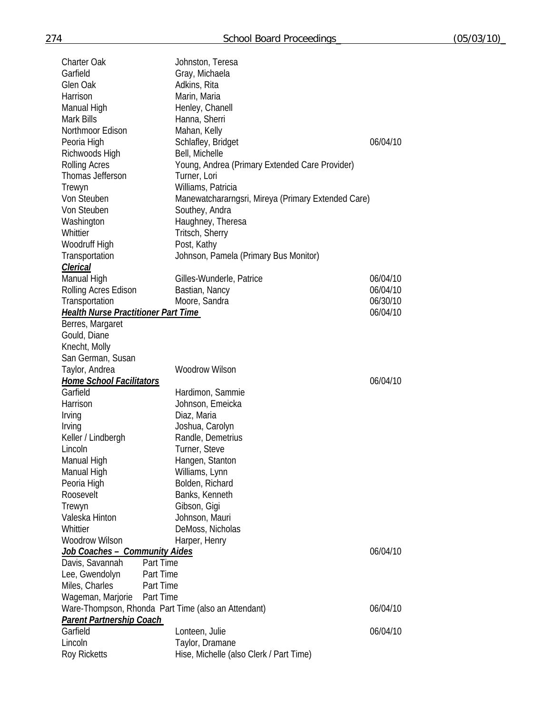| <b>Charter Oak</b><br>Garfield<br>Glen Oak<br>Harrison<br>Manual High<br><b>Mark Bills</b><br>Northmoor Edison<br>Peoria High<br>Richwoods High<br><b>Rolling Acres</b><br>Thomas Jefferson<br>Trewyn<br>Von Steuben | Johnston, Teresa<br>Gray, Michaela<br>Adkins, Rita<br>Marin, Maria<br>Henley, Chanell<br>Hanna, Sherri<br>Mahan, Kelly<br>Schlafley, Bridget<br>Bell, Michelle<br>Young, Andrea (Primary Extended Care Provider)<br>Turner, Lori<br>Williams, Patricia<br>Manewatchararngsri, Mireya (Primary Extended Care) | 06/04/10 |
|----------------------------------------------------------------------------------------------------------------------------------------------------------------------------------------------------------------------|--------------------------------------------------------------------------------------------------------------------------------------------------------------------------------------------------------------------------------------------------------------------------------------------------------------|----------|
| Von Steuben                                                                                                                                                                                                          | Southey, Andra                                                                                                                                                                                                                                                                                               |          |
| Washington                                                                                                                                                                                                           | Haughney, Theresa                                                                                                                                                                                                                                                                                            |          |
| Whittier                                                                                                                                                                                                             | Tritsch, Sherry                                                                                                                                                                                                                                                                                              |          |
| Woodruff High                                                                                                                                                                                                        | Post, Kathy                                                                                                                                                                                                                                                                                                  |          |
| Transportation<br>Clerical                                                                                                                                                                                           | Johnson, Pamela (Primary Bus Monitor)                                                                                                                                                                                                                                                                        |          |
| Manual High                                                                                                                                                                                                          | Gilles-Wunderle, Patrice                                                                                                                                                                                                                                                                                     | 06/04/10 |
| Rolling Acres Edison                                                                                                                                                                                                 | Bastian, Nancy                                                                                                                                                                                                                                                                                               | 06/04/10 |
| Transportation                                                                                                                                                                                                       | Moore, Sandra                                                                                                                                                                                                                                                                                                | 06/30/10 |
| <b>Health Nurse Practitioner Part Time</b>                                                                                                                                                                           |                                                                                                                                                                                                                                                                                                              | 06/04/10 |
| Berres, Margaret                                                                                                                                                                                                     |                                                                                                                                                                                                                                                                                                              |          |
| Gould, Diane                                                                                                                                                                                                         |                                                                                                                                                                                                                                                                                                              |          |
| Knecht, Molly                                                                                                                                                                                                        |                                                                                                                                                                                                                                                                                                              |          |
| San German, Susan                                                                                                                                                                                                    | <b>Woodrow Wilson</b>                                                                                                                                                                                                                                                                                        |          |
| Taylor, Andrea<br><b>Home School Facilitators</b>                                                                                                                                                                    |                                                                                                                                                                                                                                                                                                              | 06/04/10 |
| Garfield                                                                                                                                                                                                             | Hardimon, Sammie                                                                                                                                                                                                                                                                                             |          |
| Harrison                                                                                                                                                                                                             | Johnson, Emeicka                                                                                                                                                                                                                                                                                             |          |
| Irving                                                                                                                                                                                                               | Diaz, Maria                                                                                                                                                                                                                                                                                                  |          |
| Irving                                                                                                                                                                                                               | Joshua, Carolyn                                                                                                                                                                                                                                                                                              |          |
| Keller / Lindbergh                                                                                                                                                                                                   | Randle, Demetrius                                                                                                                                                                                                                                                                                            |          |
| Lincoln                                                                                                                                                                                                              | Turner, Steve                                                                                                                                                                                                                                                                                                |          |
| Manual High                                                                                                                                                                                                          | Hangen, Stanton                                                                                                                                                                                                                                                                                              |          |
| Manual High                                                                                                                                                                                                          | Williams, Lynn                                                                                                                                                                                                                                                                                               |          |
| Peoria High<br>Roosevelt                                                                                                                                                                                             | Bolden, Richard<br>Banks, Kenneth                                                                                                                                                                                                                                                                            |          |
| Trewyn                                                                                                                                                                                                               | Gibson, Gigi                                                                                                                                                                                                                                                                                                 |          |
| Valeska Hinton                                                                                                                                                                                                       | Johnson, Mauri                                                                                                                                                                                                                                                                                               |          |
| Whittier                                                                                                                                                                                                             | DeMoss, Nicholas                                                                                                                                                                                                                                                                                             |          |
| <b>Woodrow Wilson</b>                                                                                                                                                                                                | Harper, Henry                                                                                                                                                                                                                                                                                                |          |
| Job Coaches - Community Aides                                                                                                                                                                                        |                                                                                                                                                                                                                                                                                                              | 06/04/10 |
| Davis, Savannah<br>Part Time                                                                                                                                                                                         |                                                                                                                                                                                                                                                                                                              |          |
| Lee, Gwendolyn<br>Part Time                                                                                                                                                                                          |                                                                                                                                                                                                                                                                                                              |          |
| Miles, Charles<br>Part Time                                                                                                                                                                                          |                                                                                                                                                                                                                                                                                                              |          |
| Wageman, Marjorie<br>Part Time                                                                                                                                                                                       |                                                                                                                                                                                                                                                                                                              | 06/04/10 |
| Ware-Thompson, Rhonda Part Time (also an Attendant)<br><b>Parent Partnership Coach</b>                                                                                                                               |                                                                                                                                                                                                                                                                                                              |          |
| Garfield                                                                                                                                                                                                             | Lonteen, Julie                                                                                                                                                                                                                                                                                               | 06/04/10 |
| Lincoln                                                                                                                                                                                                              | Taylor, Dramane                                                                                                                                                                                                                                                                                              |          |
| <b>Roy Ricketts</b>                                                                                                                                                                                                  | Hise, Michelle (also Clerk / Part Time)                                                                                                                                                                                                                                                                      |          |
|                                                                                                                                                                                                                      |                                                                                                                                                                                                                                                                                                              |          |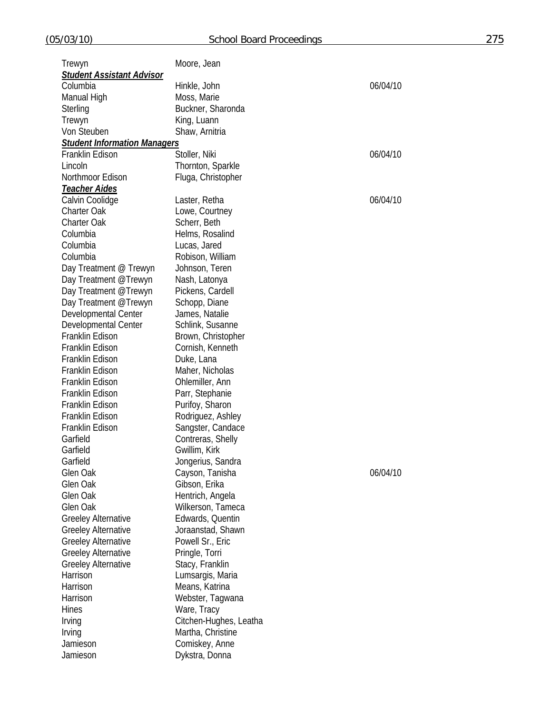| Trewyn                              | Moore, Jean                        |          |
|-------------------------------------|------------------------------------|----------|
| <b>Student Assistant Advisor</b>    |                                    |          |
| Columbia                            | Hinkle, John                       | 06/04/10 |
| Manual High                         | Moss, Marie                        |          |
| Sterling                            | Buckner, Sharonda                  |          |
| Trewyn                              | King, Luann                        |          |
| Von Steuben                         | Shaw, Arnitria                     |          |
| <b>Student Information Managers</b> |                                    |          |
| Franklin Edison                     | Stoller, Niki                      | 06/04/10 |
| Lincoln                             | Thornton, Sparkle                  |          |
| Northmoor Edison                    | Fluga, Christopher                 |          |
| <u>Teacher Aides</u>                |                                    |          |
| Calvin Coolidge                     | Laster, Retha                      | 06/04/10 |
| Charter Oak                         | Lowe, Courtney                     |          |
| Charter Oak                         | Scherr, Beth                       |          |
| Columbia                            | Helms, Rosalind                    |          |
| Columbia                            | Lucas, Jared                       |          |
| Columbia                            | Robison, William                   |          |
| Day Treatment @ Trewyn              | Johnson, Teren                     |          |
| Day Treatment @Trewyn               | Nash, Latonya                      |          |
| Day Treatment @Trewyn               | Pickens, Cardell                   |          |
| Day Treatment @Trewyn               | Schopp, Diane                      |          |
| Developmental Center                | James, Natalie                     |          |
| Developmental Center                | Schlink, Susanne                   |          |
| Franklin Edison                     | Brown, Christopher                 |          |
| Franklin Edison                     | Cornish, Kenneth                   |          |
| Franklin Edison                     | Duke, Lana                         |          |
| Franklin Edison                     | Maher, Nicholas                    |          |
| Franklin Edison                     | Ohlemiller, Ann                    |          |
| Franklin Edison                     | Parr, Stephanie                    |          |
| Franklin Edison                     | Purifoy, Sharon                    |          |
| Franklin Edison                     | Rodriguez, Ashley                  |          |
| Franklin Edison                     | Sangster, Candace                  |          |
| Garfield                            |                                    |          |
| Garfield                            | Contreras, Shelly<br>Gwillim, Kirk |          |
| Garfield                            |                                    |          |
| Glen Oak                            | Jongerius, Sandra                  | 06/04/10 |
|                                     | Cayson, Tanisha                    |          |
| Glen Oak<br>Glen Oak                | Gibson, Erika                      |          |
| Glen Oak                            | Hentrich, Angela                   |          |
|                                     | Wilkerson, Tameca                  |          |
| <b>Greeley Alternative</b>          | Edwards, Quentin                   |          |
| <b>Greeley Alternative</b>          | Joraanstad, Shawn                  |          |
| <b>Greeley Alternative</b>          | Powell Sr., Eric                   |          |
| <b>Greeley Alternative</b>          | Pringle, Torri                     |          |
| <b>Greeley Alternative</b>          | Stacy, Franklin                    |          |
| Harrison                            | Lumsargis, Maria                   |          |
| Harrison                            | Means, Katrina                     |          |
| Harrison                            | Webster, Tagwana                   |          |
| Hines                               | Ware, Tracy                        |          |
| Irving                              | Citchen-Hughes, Leatha             |          |
| Irving                              | Martha, Christine                  |          |
| Jamieson                            | Comiskey, Anne                     |          |
| Jamieson                            | Dykstra, Donna                     |          |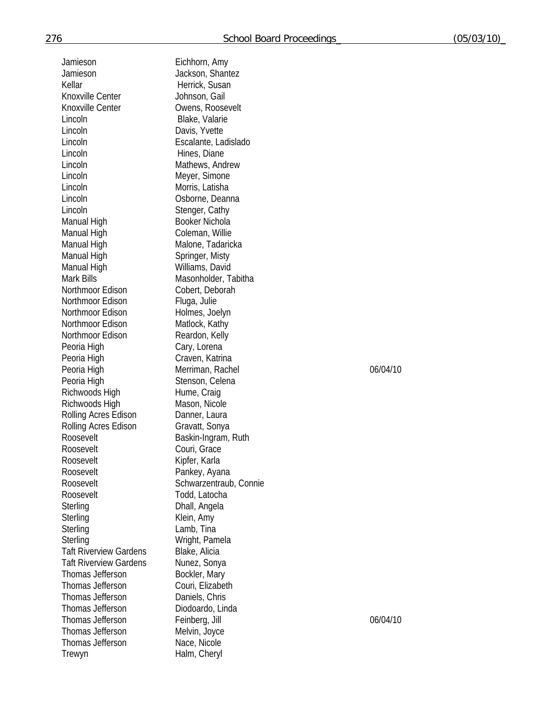| Jamieson                      | Eichhorn, Amy   |
|-------------------------------|-----------------|
| Jamieson                      | Jackson, Shan   |
| Kellar                        | Herrick, Susar  |
| Knoxville Center              | Johnson, Gail   |
| Knoxville Center              | Owens, Roose    |
|                               |                 |
| Lincoln                       | Blake, Valarie  |
| Lincoln                       | Davis, Yvette   |
| Lincoln                       | Escalante, Lad  |
| Lincoln                       | Hines, Diane    |
| Lincoln                       | Mathews, Andr   |
| Lincoln                       | Meyer, Simone   |
| Lincoln                       | Morris, Latisha |
| Lincoln                       | Osborne, Dear   |
| Lincoln                       | Stenger, Cathy  |
| Manual High                   | Booker Nichola  |
| Manual High                   | Coleman, Willie |
| Manual High                   | Malone, Tadari  |
| Manual High                   | Springer, Misty |
| Manual High                   | Williams, David |
| <b>Mark Bills</b>             | Masonholder, 7  |
| Northmoor Edison              | Cobert, Debora  |
| Northmoor Edison              | Fluga, Julie    |
|                               |                 |
| Northmoor Edison              | Holmes, Joelyr  |
| Northmoor Edison              | Matlock, Kathy  |
| Northmoor Edison              | Reardon, Kelly  |
| Peoria High                   | Cary, Lorena    |
| Peoria High                   | Craven, Katrina |
| Peoria High                   | Merriman, Rac   |
| Peoria High                   | Stenson, Celer  |
| Richwoods High                | Hume, Craig     |
| Richwoods High                | Mason, Nicole   |
| Rolling Acres Edison          | Danner, Laura   |
| Rolling Acres Edison          | Gravatt, Sonya  |
| Roosevelt                     | Baskin-Ingram,  |
| Roosevelt                     | Couri, Grace    |
| Roosevelt                     | Kipfer, Karla   |
| Roosevelt                     | Pankey, Ayana   |
| Roosevelt                     | Schwarzentrau   |
| Roosevelt                     | Todd, Latocha   |
| Sterling                      | Dhall, Angela   |
| Sterling                      | Klein, Amy      |
| Sterling                      | Lamb, Tina      |
|                               |                 |
| Sterling                      | Wright, Pamela  |
| <b>Taft Riverview Gardens</b> | Blake, Alicia   |
| <b>Taft Riverview Gardens</b> | Nunez, Sonya    |
| Thomas Jefferson              | Bockler, Mary   |
| Thomas Jefferson              | Couri, Elizabet |
| Thomas Jefferson              | Daniels, Chris  |
| Thomas Jefferson              | Diodoardo, Lin  |
| Thomas Jefferson              | Feinberg, Jill  |
| Thomas Jefferson              | Melvin, Joyce   |
| Thomas Jefferson              | Nace, Nicole    |
| Trewyn                        | Halm, Cheryl    |

Jackson, Shantez Herrick, Susan Johnson, Gail Owens, Roosevelt Blake, Valarie Davis, Yvette Escalante, Ladislado Hines, Diane Mathews, Andrew Meyer, Simone Morris, Latisha Osborne, Deanna Stenger, Cathy Booker Nichola Coleman, Willie Malone, Tadaricka Springer, Misty Williams, David Masonholder, Tabitha Cobert, Deborah Fluga, Julie Holmes, Joelyn Matlock, Kathy Reardon, Kelly Cary, Lorena Craven, Katrina Merriman, Rachel 06/04/10 Stenson, Celena Hume, Craig Mason, Nicole Danner, Laura Gravatt, Sonya Baskin-Ingram, Ruth Couri, Grace Kipfer, Karla Pankey, Ayana Schwarzentraub, Connie Todd, Latocha Dhall, Angela Klein, Amy Lamb, Tina Wright, Pamela Blake, Alicia Nunez, Sonya Bockler, Mary Couri, Elizabeth Daniels, Chris Diodoardo, Linda Feinberg, Jill 06/04/10 Melvin, Joyce Nace, Nicole Halm, Cheryl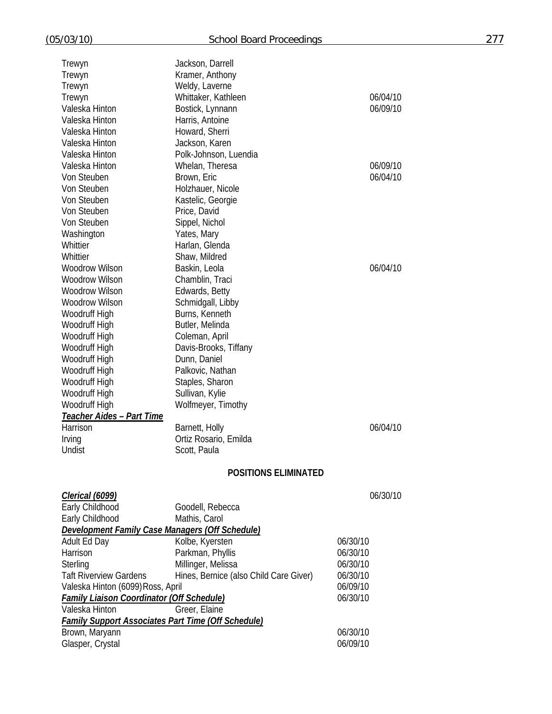| (05/03/10)                                       | <b>School Board Proceedings</b>                           |          | 277 |
|--------------------------------------------------|-----------------------------------------------------------|----------|-----|
|                                                  | Jackson, Darrell                                          |          |     |
| Trewyn<br>Trewyn                                 | Kramer, Anthony                                           |          |     |
| Trewyn                                           | Weldy, Laverne                                            |          |     |
| Trewyn                                           | Whittaker, Kathleen                                       | 06/04/10 |     |
| Valeska Hinton                                   | Bostick, Lynnann                                          | 06/09/10 |     |
| Valeska Hinton                                   | Harris, Antoine                                           |          |     |
| Valeska Hinton                                   | Howard, Sherri                                            |          |     |
| Valeska Hinton                                   | Jackson, Karen                                            |          |     |
| Valeska Hinton                                   | Polk-Johnson, Luendia                                     |          |     |
| Valeska Hinton                                   | Whelan, Theresa                                           | 06/09/10 |     |
| Von Steuben                                      | Brown, Eric                                               | 06/04/10 |     |
| Von Steuben                                      | Holzhauer, Nicole                                         |          |     |
| Von Steuben                                      | Kastelic, Georgie                                         |          |     |
| Von Steuben                                      | Price, David                                              |          |     |
| Von Steuben                                      | Sippel, Nichol                                            |          |     |
| Washington                                       | Yates, Mary                                               |          |     |
| Whittier                                         | Harlan, Glenda                                            |          |     |
| Whittier                                         | Shaw, Mildred                                             |          |     |
| <b>Woodrow Wilson</b>                            | Baskin, Leola                                             | 06/04/10 |     |
| Woodrow Wilson                                   | Chamblin, Traci                                           |          |     |
| <b>Woodrow Wilson</b>                            | Edwards, Betty                                            |          |     |
| <b>Woodrow Wilson</b>                            | Schmidgall, Libby                                         |          |     |
| Woodruff High                                    | Burns, Kenneth                                            |          |     |
| Woodruff High                                    | Butler, Melinda                                           |          |     |
| Woodruff High                                    | Coleman, April                                            |          |     |
| Woodruff High                                    | Davis-Brooks, Tiffany                                     |          |     |
| Woodruff High                                    | Dunn, Daniel                                              |          |     |
| Woodruff High                                    | Palkovic, Nathan                                          |          |     |
| Woodruff High                                    | Staples, Sharon                                           |          |     |
| Woodruff High                                    | Sullivan, Kylie                                           |          |     |
| Woodruff High                                    | Wolfmeyer, Timothy                                        |          |     |
| Teacher Aides - Part Time                        |                                                           |          |     |
| Harrison                                         | Barnett, Holly                                            | 06/04/10 |     |
| Irving                                           | Ortiz Rosario, Emilda                                     |          |     |
| Undist                                           | Scott, Paula                                              |          |     |
|                                                  | <b>POSITIONS ELIMINATED</b>                               |          |     |
|                                                  |                                                           |          |     |
| <u> Clerical (6099)</u>                          |                                                           | 06/30/10 |     |
| Early Childhood                                  | Goodell, Rebecca                                          |          |     |
| Early Childhood                                  | Mathis, Carol                                             |          |     |
|                                                  | <b>Development Family Case Managers (Off Schedule)</b>    |          |     |
| Adult Ed Day                                     | Kolbe, Kyersten                                           | 06/30/10 |     |
| Harrison                                         | Parkman, Phyllis                                          | 06/30/10 |     |
| Sterling                                         | Millinger, Melissa                                        | 06/30/10 |     |
| <b>Taft Riverview Gardens</b>                    | Hines, Bernice (also Child Care Giver)                    | 06/30/10 |     |
| Valeska Hinton (6099) Ross, April                |                                                           | 06/09/10 |     |
| <b>Family Liaison Coordinator (Off Schedule)</b> |                                                           | 06/30/10 |     |
| Valeska Hinton                                   | Greer, Elaine                                             |          |     |
|                                                  | <b>Family Support Associates Part Time (Off Schedule)</b> |          |     |
| Brown, Maryann                                   |                                                           | 06/30/10 |     |
| Glasper, Crystal                                 |                                                           | 06/09/10 |     |
|                                                  |                                                           |          |     |